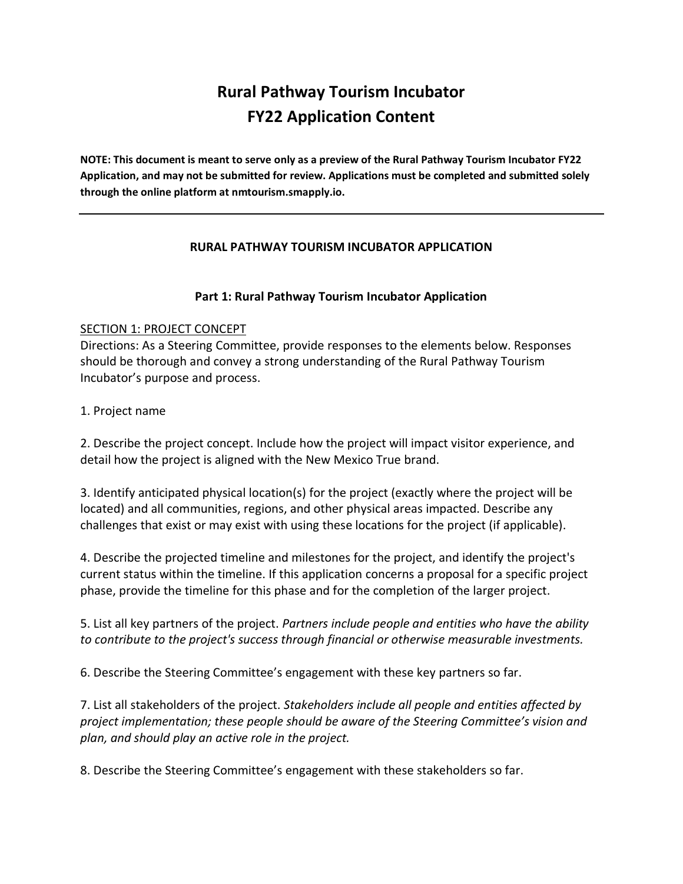# **Rural Pathway Tourism Incubator FY22 Application Content**

**NOTE: This document is meant to serve only as a preview of the Rural Pathway Tourism Incubator FY22 Application, and may not be submitted for review. Applications must be completed and submitted solely through the online platform at nmtourism.smapply.io.**

### **RURAL PATHWAY TOURISM INCUBATOR APPLICATION**

### **Part 1: Rural Pathway Tourism Incubator Application**

### SECTION 1: PROJECT CONCEPT

Directions: As a Steering Committee, provide responses to the elements below. Responses should be thorough and convey a strong understanding of the Rural Pathway Tourism Incubator's purpose and process.

## 1. Project name

2. Describe the project concept. Include how the project will impact visitor experience, and detail how the project is aligned with the New Mexico True brand.

3. Identify anticipated physical location(s) for the project (exactly where the project will be located) and all communities, regions, and other physical areas impacted. Describe any challenges that exist or may exist with using these locations for the project (if applicable).

4. Describe the projected timeline and milestones for the project, and identify the project's current status within the timeline. If this application concerns a proposal for a specific project phase, provide the timeline for this phase and for the completion of the larger project.

5. List all key partners of the project. *Partners include people and entities who have the ability to contribute to the project's success through financial or otherwise measurable investments.*

6. Describe the Steering Committee's engagement with these key partners so far.

7. List all stakeholders of the project. *Stakeholders include all people and entities affected by project implementation; these people should be aware of the Steering Committee's vision and plan, and should play an active role in the project.*

8. Describe the Steering Committee's engagement with these stakeholders so far.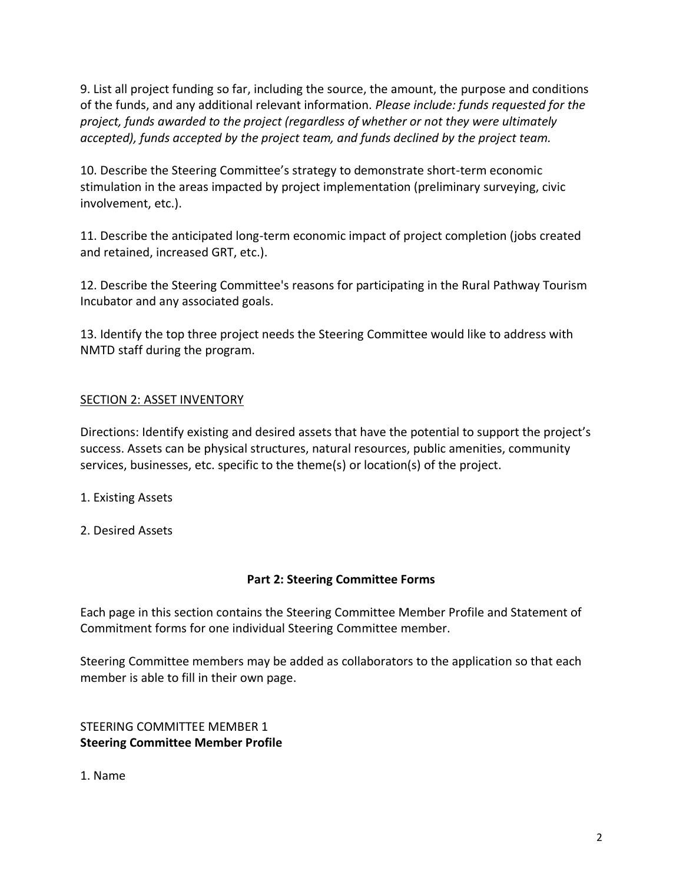9. List all project funding so far, including the source, the amount, the purpose and conditions of the funds, and any additional relevant information. *Please include: funds requested for the project, funds awarded to the project (regardless of whether or not they were ultimately accepted), funds accepted by the project team, and funds declined by the project team.*

10. Describe the Steering Committee's strategy to demonstrate short-term economic stimulation in the areas impacted by project implementation (preliminary surveying, civic involvement, etc.).

11. Describe the anticipated long-term economic impact of project completion (jobs created and retained, increased GRT, etc.).

12. Describe the Steering Committee's reasons for participating in the Rural Pathway Tourism Incubator and any associated goals.

13. Identify the top three project needs the Steering Committee would like to address with NMTD staff during the program.

# SECTION 2: ASSET INVENTORY

Directions: Identify existing and desired assets that have the potential to support the project's success. Assets can be physical structures, natural resources, public amenities, community services, businesses, etc. specific to the theme(s) or location(s) of the project.

- 1. Existing Assets
- 2. Desired Assets

## **Part 2: Steering Committee Forms**

Each page in this section contains the Steering Committee Member Profile and Statement of Commitment forms for one individual Steering Committee member.

Steering Committee members may be added as collaborators to the application so that each member is able to fill in their own page.

## STEERING COMMITTEE MEMBER 1 **Steering Committee Member Profile**

1. Name